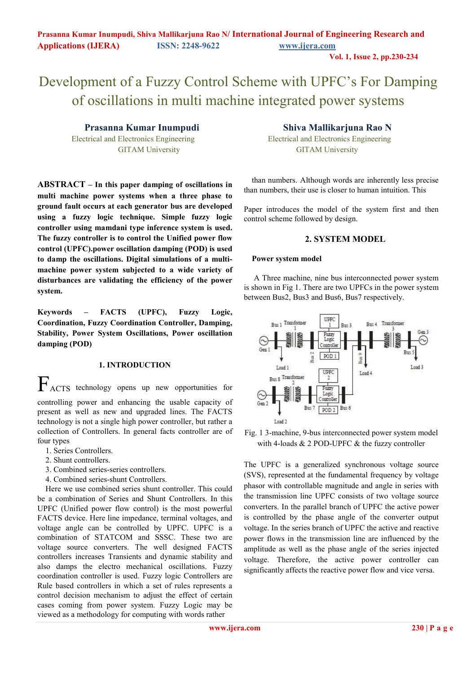**Vol. 1, Issue 2, pp.230-234**

# Development of a Fuzzy Control Scheme with UPFC's For Damping of oscillations in multi machine integrated power systems

**ABSTRACT – In this paper damping of oscillations in multi machine power systems when a three phase to ground fault occurs at each generator bus are developed using a fuzzy logic technique. Simple fuzzy logic controller using mamdani type inference system is used. The fuzzy controller is to control the Unified power flow control (UPFC).power oscillation damping (POD) is used to damp the oscillations. Digital simulations of a multimachine power system subjected to a wide variety of disturbances are validating the efficiency of the power system.** 

**Keywords – FACTS (UPFC), Fuzzy Logic, Coordination, Fuzzy Coordination Controller, Damping, Stability, Power System Oscillations, Power oscillation damping (POD)** 

#### **1. INTRODUCTION**

FACTS technology opens up new opportunities for controlling power and enhancing the usable capacity of present as well as new and upgraded lines. The FACTS technology is not a single high power controller, but rather a collection of Controllers. In general facts controller are of four types

- 1. Series Controllers.
- 2. Shunt controllers.
- 3. Combined series-series controllers.
- 4. Combined series-shunt Controllers.

Here we use combined series shunt controller. This could be a combination of Series and Shunt Controllers. In this UPFC (Unified power flow control) is the most powerful FACTS device. Here line impedance, terminal voltages, and voltage angle can be controlled by UPFC. UPFC is a combination of STATCOM and SSSC. These two are voltage source converters. The well designed FACTS controllers increases Transients and dynamic stability and also damps the electro mechanical oscillations. Fuzzy coordination controller is used. Fuzzy logic Controllers are Rule based controllers in which a set of rules represents a control decision mechanism to adjust the effect of certain cases coming from power system. Fuzzy Logic may be viewed as a methodology for computing with words rather

# **Prasanna Kumar Inumpudi Shiva Mallikarjuna Rao N**

 Electrical and Electronics Engineering Electrical and Electronics Engineering GITAM University GITAM University

> than numbers. Although words are inherently less precise than numbers, their use is closer to human intuition. This

> Paper introduces the model of the system first and then control scheme followed by design.

#### **2. SYSTEM MODEL**

#### **Power system model**

 A Three machine, nine bus interconnected power system is shown in Fig 1. There are two UPFCs in the power system between Bus2, Bus3 and Bus6, Bus7 respectively.



Fig. 1 3-machine, 9-bus interconnected power system model with 4-loads & 2 POD-UPFC & the fuzzy controller

The UPFC is a generalized synchronous voltage source (SVS), represented at the fundamental frequency by voltage phasor with controllable magnitude and angle in series with the transmission line UPFC consists of two voltage source converters. In the parallel branch of UPFC the active power is controlled by the phase angle of the converter output voltage. In the series branch of UPFC the active and reactive power flows in the transmission line are influenced by the amplitude as well as the phase angle of the series injected voltage. Therefore, the active power controller can significantly affects the reactive power flow and vice versa.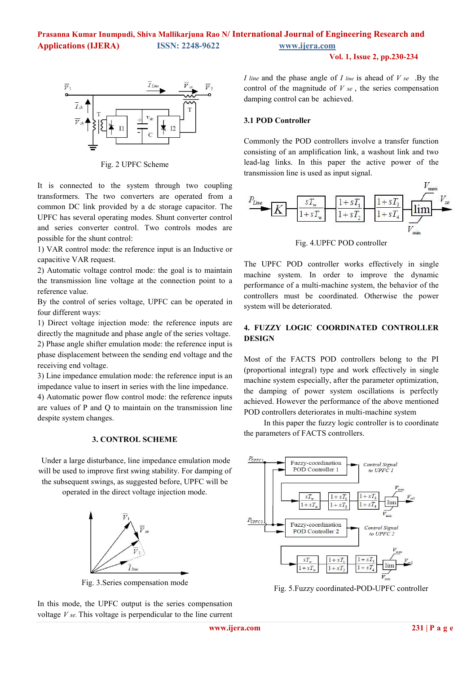

Fig. 2 UPFC Scheme

It is connected to the system through two coupling transformers. The two converters are operated from a common DC link provided by a dc storage capacitor. The UPFC has several operating modes. Shunt converter control and series converter control. Two controls modes are possible for the shunt control:

1) VAR control mode: the reference input is an Inductive or capacitive VAR request.

2) Automatic voltage control mode: the goal is to maintain the transmission line voltage at the connection point to a reference value.

By the control of series voltage, UPFC can be operated in four different ways:

1) Direct voltage injection mode: the reference inputs are directly the magnitude and phase angle of the series voltage.

2) Phase angle shifter emulation mode: the reference input is phase displacement between the sending end voltage and the receiving end voltage.

3) Line impedance emulation mode: the reference input is an impedance value to insert in series with the line impedance.

4) Automatic power flow control mode: the reference inputs are values of P and Q to maintain on the transmission line despite system changes.

#### **3. CONTROL SCHEME**

 Under a large disturbance, line impedance emulation mode will be used to improve first swing stability. For damping of the subsequent swings, as suggested before, UPFC will be

operated in the direct voltage injection mode.



Fig. 3.Series compensation mode

In this mode, the UPFC output is the series compensation voltage *V se.* This voltage is perpendicular to the line current *I line* and the phase angle of *I line* is ahead of *V se* .By the control of the magnitude of *V se* , the series compensation damping control can be achieved.

#### **3.1 POD Controller**

Commonly the POD controllers involve a transfer function consisting of an amplification link, a washout link and two lead-lag links. In this paper the active power of the transmission line is used as input signal.



Fig. 4.UPFC POD controller

The UPFC POD controller works effectively in single machine system. In order to improve the dynamic performance of a multi-machine system, the behavior of the controllers must be coordinated. Otherwise the power system will be deteriorated.

# **4. FUZZY LOGIC COORDINATED CONTROLLER DESIGN**

Most of the FACTS POD controllers belong to the PI (proportional integral) type and work effectively in single machine system especially, after the parameter optimization, the damping of power system oscillations is perfectly achieved. However the performance of the above mentioned POD controllers deteriorates in multi-machine system

 In this paper the fuzzy logic controller is to coordinate the parameters of FACTS controllers.



Fig. 5.Fuzzy coordinated-POD-UPFC controller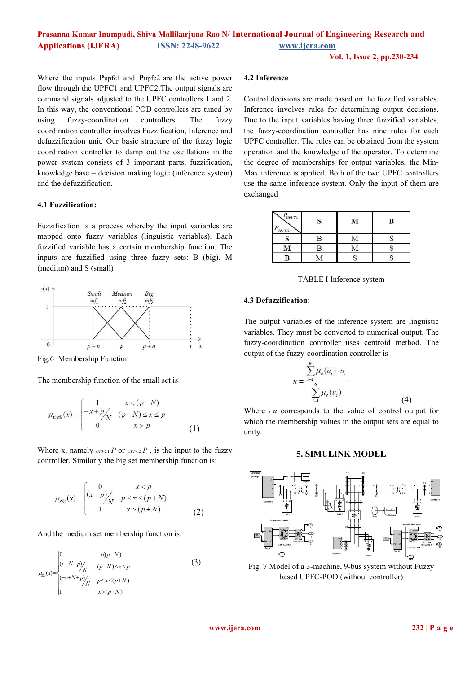# **Prasanna Kumar Inumpudi, Shiva Mallikarjuna Rao N/ International Journal of Engineering Research and Applications (IJERA) ISSN: 2248-9622 www.ijera.com**

**Vol. 1, Issue 2, pp.230-234**

Where the inputs **P**upfc1 and **P**upfc2 are the active power flow through the UPFC1 and UPFC2.The output signals are command signals adjusted to the UPFC controllers 1 and 2. In this way, the conventional POD controllers are tuned by using fuzzy-coordination controllers. The fuzzy coordination controller involves Fuzzification, Inference and defuzzification unit. Our basic structure of the fuzzy logic coordination controller to damp out the oscillations in the power system consists of 3 important parts, fuzzification, knowledge base – decision making logic (inference system) and the defuzzification.

#### **4.1 Fuzzification:**

Fuzzification is a process whereby the input variables are mapped onto fuzzy variables (linguistic variables). Each fuzzified variable has a certain membership function. The inputs are fuzzified using three fuzzy sets: B (big), M (medium) and S (small)



Fig.6 .Membership Function

The membership function of the small set is

$$
\mu_{small}(x) = \begin{cases}\n1 & x < (p-N) \\
-x + p / \sqrt{(p-N)} \le x \le p \\
0 & x > p\n\end{cases}
$$
\n(1)

Where x, namely  $U$ *PFC*1 *P* or  $U$ *PFC*2 *P* , is the input to the fuzzy controller. Similarly the big set membership function is:

$$
\mu_{Big}(x) = \begin{cases}\n0 & x < p \\
(x - p) / N & p \le x \le (p + N) \\
1 & x > (p + N)\n\end{cases}
$$
\n(2)

And the medium set membership function is:

$$
\mu_{\text{Rg}}(x) = \begin{cases}\n0 & x(p-N) \\
(x+N-p) / \sqrt{(p-N) \le x \le p} \\
(-x+N+p) / \sqrt{p \le x \le (p+N)} \\
1 & x > (p+N)\n\end{cases}
$$
\n(3)

### **4.2 Inference**

Control decisions are made based on the fuzzified variables. Inference involves rules for determining output decisions. Due to the input variables having three fuzzified variables, the fuzzy-coordination controller has nine rules for each UPFC controller. The rules can be obtained from the system operation and the knowledge of the operator. To determine the degree of memberships for output variables, the Min-Max inference is applied. Both of the two UPFC controllers use the same inference system. Only the input of them are exchanged

| $P_{U P F C 1}$<br>$P_{U P F C 2}$ |   | М | B |
|------------------------------------|---|---|---|
|                                    | R |   |   |
|                                    | R |   |   |
|                                    |   |   |   |

TABLE I Inference system

#### **4.3 Defuzzification:**

The output variables of the inference system are linguistic variables. They must be converted to numerical output. The fuzzy-coordination controller uses centroid method. The output of the fuzzy-coordination controller is

$$
u = \frac{\sum_{i=1}^{9} \mu_c(u_i) \cdot u_i}{\sum_{i=1}^{9} \mu_c(u_i)}
$$
(4)

Where  $\mu$  *u* corresponds to the value of control output for which the membership values in the output sets are equal to unity.

#### **5. SIMULINK MODEL**



Fig. 7 Model of a 3-machine, 9-bus system without Fuzzy based UPFC-POD (without controller)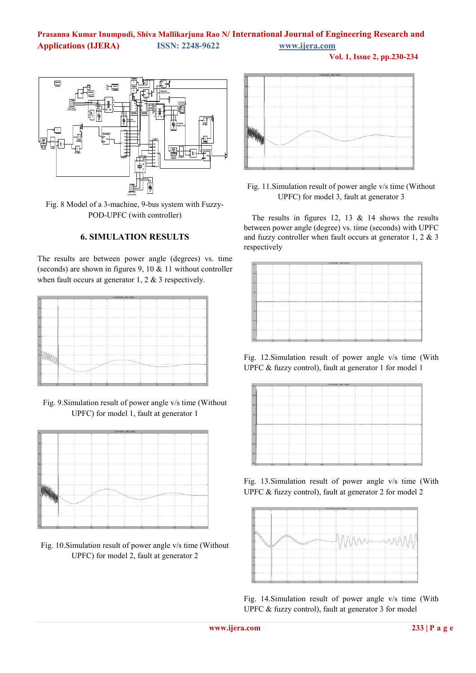# **Prasanna Kumar Inumpudi, Shiva Mallikarjuna Rao N/ International Journal of Engineering Research and Applications (IJERA) ISSN: 2248-9622 www.ijera.com**

**Vol. 1, Issue 2, pp.230-234**



Fig. 8 Model of a 3-machine, 9-bus system with Fuzzy-POD-UPFC (with controller)

# **6. SIMULATION RESULTS**

The results are between power angle (degrees) vs. time (seconds) are shown in figures 9, 10 & 11 without controller when fault occurs at generator 1, 2 & 3 respectively.

|                                                                                                                                                                                                                                | clost angle delta (degl) |    |     |    |     |
|--------------------------------------------------------------------------------------------------------------------------------------------------------------------------------------------------------------------------------|--------------------------|----|-----|----|-----|
|                                                                                                                                                                                                                                |                          |    |     |    |     |
|                                                                                                                                                                                                                                |                          |    |     |    |     |
|                                                                                                                                                                                                                                |                          |    |     |    |     |
| and a communication of the communication of the communication of the communication of the communication of the communication of the communication of the communication of the communication of the communication of the commun |                          |    |     |    |     |
| 20 million company and the company of                                                                                                                                                                                          |                          |    |     |    | .   |
|                                                                                                                                                                                                                                |                          |    |     |    |     |
|                                                                                                                                                                                                                                |                          |    |     |    |     |
|                                                                                                                                                                                                                                |                          |    |     |    |     |
| in a communication communication de la communication de la communication de la communication de la communication de la communication de la communication de la communication de la communication de la communication de la com |                          |    |     |    |     |
|                                                                                                                                                                                                                                |                          |    |     |    |     |
| 02<br>0.4<br>06                                                                                                                                                                                                                | 0.8                      | 12 | 1.4 | 16 | 1.8 |

Fig. 9.Simulation result of power angle v/s time (Without UPFC) for model 1, fault at generator 1



Fig. 10.Simulation result of power angle v/s time (Without UPFC) for model 2, fault at generator 2



Fig. 11.Simulation result of power angle v/s time (Without UPFC) for model 3, fault at generator 3

The results in figures 12, 13  $\&$  14 shows the results between power angle (degree) vs. time (seconds) with UPFC and fuzzy controller when fault occurs at generator 1, 2 & 3 respectively



Fig. 12.Simulation result of power angle v/s time (With UPFC & fuzzy control), fault at generator 1 for model 1



Fig. 13.Simulation result of power angle v/s time (With UPFC & fuzzy control), fault at generator 2 for model 2



Fig. 14.Simulation result of power angle v/s time (With UPFC & fuzzy control), fault at generator 3 for model